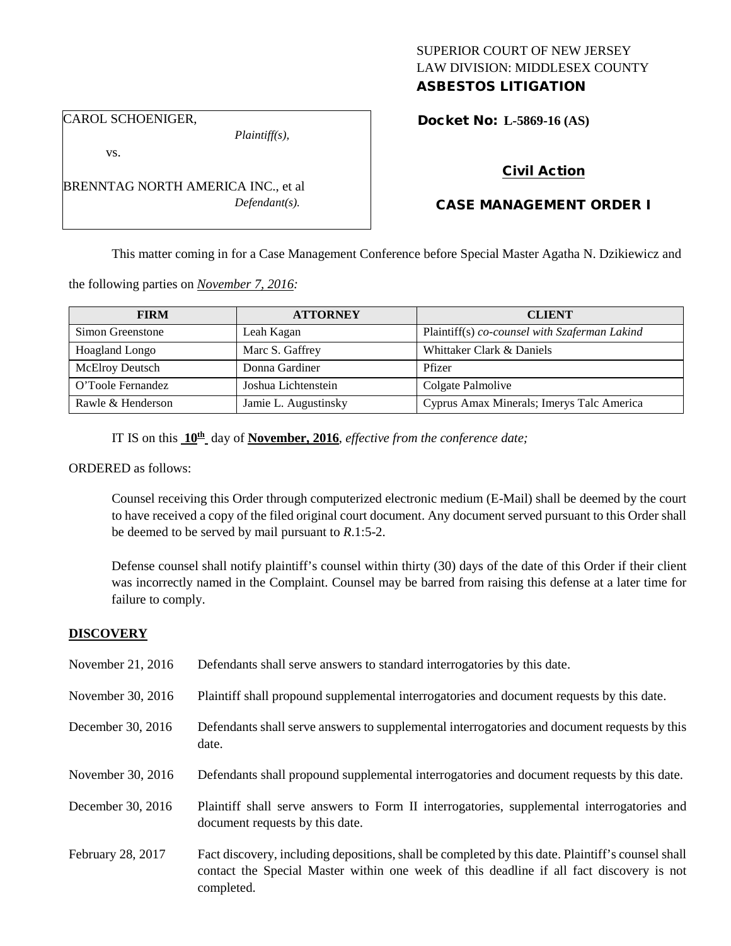# SUPERIOR COURT OF NEW JERSEY LAW DIVISION: MIDDLESEX COUNTY

# ASBESTOS LITIGATION

CAROL SCHOENIGER,

*Plaintiff(s),*

Docket No: **L-5869-16 (AS)** 

vs.

BRENNTAG NORTH AMERICA INC., et al *Defendant(s).*

### Civil Action

## CASE MANAGEMENT ORDER I

This matter coming in for a Case Management Conference before Special Master Agatha N. Dzikiewicz and

the following parties on *November 7, 2016:*

| <b>FIRM</b>            | <b>ATTORNEY</b>      | <b>CLIENT</b>                                 |
|------------------------|----------------------|-----------------------------------------------|
| Simon Greenstone       | Leah Kagan           | Plaintiff(s) co-counsel with Szaferman Lakind |
| <b>Hoagland Longo</b>  | Marc S. Gaffrey      | Whittaker Clark & Daniels                     |
| <b>McElroy Deutsch</b> | Donna Gardiner       | Pfizer                                        |
| O'Toole Fernandez      | Joshua Lichtenstein  | Colgate Palmolive                             |
| Rawle & Henderson      | Jamie L. Augustinsky | Cyprus Amax Minerals; Imerys Talc America     |

IT IS on this **10th** day of **November, 2016**, *effective from the conference date;*

ORDERED as follows:

Counsel receiving this Order through computerized electronic medium (E-Mail) shall be deemed by the court to have received a copy of the filed original court document. Any document served pursuant to this Order shall be deemed to be served by mail pursuant to *R*.1:5-2.

Defense counsel shall notify plaintiff's counsel within thirty (30) days of the date of this Order if their client was incorrectly named in the Complaint. Counsel may be barred from raising this defense at a later time for failure to comply.

#### **DISCOVERY**

| November 21, 2016 | Defendants shall serve answers to standard interrogatories by this date.                                                                                                                                    |
|-------------------|-------------------------------------------------------------------------------------------------------------------------------------------------------------------------------------------------------------|
| November 30, 2016 | Plaintiff shall propound supplemental interrogatories and document requests by this date.                                                                                                                   |
| December 30, 2016 | Defendants shall serve answers to supplemental interrogatories and document requests by this<br>date.                                                                                                       |
| November 30, 2016 | Defendants shall propound supplemental interrogatories and document requests by this date.                                                                                                                  |
| December 30, 2016 | Plaintiff shall serve answers to Form II interrogatories, supplemental interrogatories and<br>document requests by this date.                                                                               |
| February 28, 2017 | Fact discovery, including depositions, shall be completed by this date. Plaintiff's counsel shall<br>contact the Special Master within one week of this deadline if all fact discovery is not<br>completed. |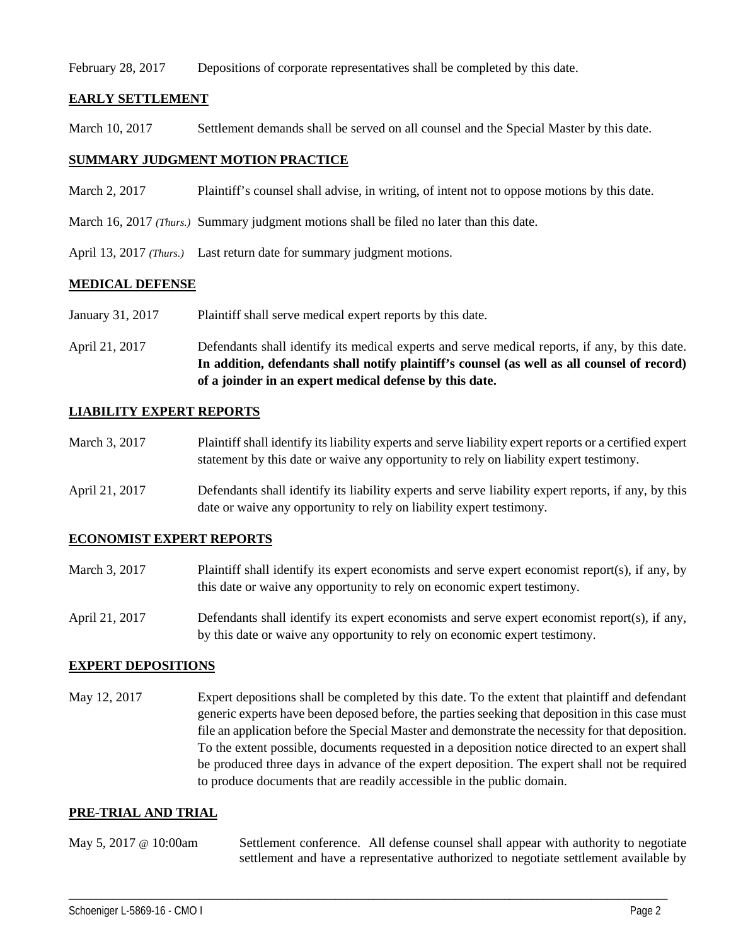#### February 28, 2017 Depositions of corporate representatives shall be completed by this date.

#### **EARLY SETTLEMENT**

March 10, 2017 Settlement demands shall be served on all counsel and the Special Master by this date.

#### **SUMMARY JUDGMENT MOTION PRACTICE**

- March 2, 2017 Plaintiff's counsel shall advise, in writing, of intent not to oppose motions by this date.
- March 16, 2017 *(Thurs.)* Summary judgment motions shall be filed no later than this date.
- April 13, 2017 *(Thurs.)* Last return date for summary judgment motions.

#### **MEDICAL DEFENSE**

- January 31, 2017 Plaintiff shall serve medical expert reports by this date.
- April 21, 2017 Defendants shall identify its medical experts and serve medical reports, if any, by this date. **In addition, defendants shall notify plaintiff's counsel (as well as all counsel of record) of a joinder in an expert medical defense by this date.**

#### **LIABILITY EXPERT REPORTS**

- March 3, 2017 Plaintiff shall identify its liability experts and serve liability expert reports or a certified expert statement by this date or waive any opportunity to rely on liability expert testimony.
- April 21, 2017 Defendants shall identify its liability experts and serve liability expert reports, if any, by this date or waive any opportunity to rely on liability expert testimony.

#### **ECONOMIST EXPERT REPORTS**

- March 3, 2017 Plaintiff shall identify its expert economists and serve expert economist report(s), if any, by this date or waive any opportunity to rely on economic expert testimony.
- April 21, 2017 Defendants shall identify its expert economists and serve expert economist report(s), if any, by this date or waive any opportunity to rely on economic expert testimony.

#### **EXPERT DEPOSITIONS**

May 12, 2017 Expert depositions shall be completed by this date. To the extent that plaintiff and defendant generic experts have been deposed before, the parties seeking that deposition in this case must file an application before the Special Master and demonstrate the necessity for that deposition. To the extent possible, documents requested in a deposition notice directed to an expert shall be produced three days in advance of the expert deposition. The expert shall not be required to produce documents that are readily accessible in the public domain.

#### **PRE-TRIAL AND TRIAL**

May 5, 2017 @ 10:00am Settlement conference. All defense counsel shall appear with authority to negotiate settlement and have a representative authorized to negotiate settlement available by

\_\_\_\_\_\_\_\_\_\_\_\_\_\_\_\_\_\_\_\_\_\_\_\_\_\_\_\_\_\_\_\_\_\_\_\_\_\_\_\_\_\_\_\_\_\_\_\_\_\_\_\_\_\_\_\_\_\_\_\_\_\_\_\_\_\_\_\_\_\_\_\_\_\_\_\_\_\_\_\_\_\_\_\_\_\_\_\_\_\_\_\_\_\_\_\_\_\_\_\_\_\_\_\_\_\_\_\_\_\_